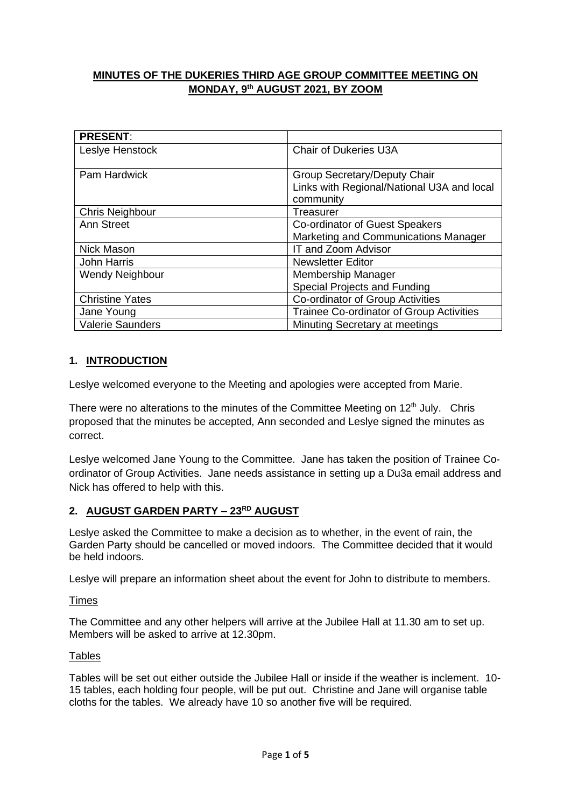# **MINUTES OF THE DUKERIES THIRD AGE GROUP COMMITTEE MEETING ON MONDAY, 9 th AUGUST 2021, BY ZOOM**

| <b>PRESENT:</b>         |                                            |
|-------------------------|--------------------------------------------|
| Leslye Henstock         | <b>Chair of Dukeries U3A</b>               |
|                         |                                            |
| <b>Pam Hardwick</b>     | Group Secretary/Deputy Chair               |
|                         | Links with Regional/National U3A and local |
|                         | community                                  |
| Chris Neighbour         | Treasurer                                  |
| Ann Street              | Co-ordinator of Guest Speakers             |
|                         | Marketing and Communications Manager       |
| <b>Nick Mason</b>       | IT and Zoom Advisor                        |
| <b>John Harris</b>      | <b>Newsletter Editor</b>                   |
| <b>Wendy Neighbour</b>  | Membership Manager                         |
|                         | Special Projects and Funding               |
| <b>Christine Yates</b>  | Co-ordinator of Group Activities           |
| Jane Young              | Trainee Co-ordinator of Group Activities   |
| <b>Valerie Saunders</b> | Minuting Secretary at meetings             |

# **1. INTRODUCTION**

Leslye welcomed everyone to the Meeting and apologies were accepted from Marie.

There were no alterations to the minutes of the Committee Meeting on  $12<sup>th</sup>$  July. Chris proposed that the minutes be accepted, Ann seconded and Leslye signed the minutes as correct.

Leslye welcomed Jane Young to the Committee. Jane has taken the position of Trainee Coordinator of Group Activities. Jane needs assistance in setting up a Du3a email address and Nick has offered to help with this.

# **2. AUGUST GARDEN PARTY – 23RD AUGUST**

Leslye asked the Committee to make a decision as to whether, in the event of rain, the Garden Party should be cancelled or moved indoors. The Committee decided that it would be held indoors.

Leslye will prepare an information sheet about the event for John to distribute to members.

## Times

The Committee and any other helpers will arrive at the Jubilee Hall at 11.30 am to set up. Members will be asked to arrive at 12.30pm.

## **Tables**

Tables will be set out either outside the Jubilee Hall or inside if the weather is inclement. 10- 15 tables, each holding four people, will be put out. Christine and Jane will organise table cloths for the tables. We already have 10 so another five will be required.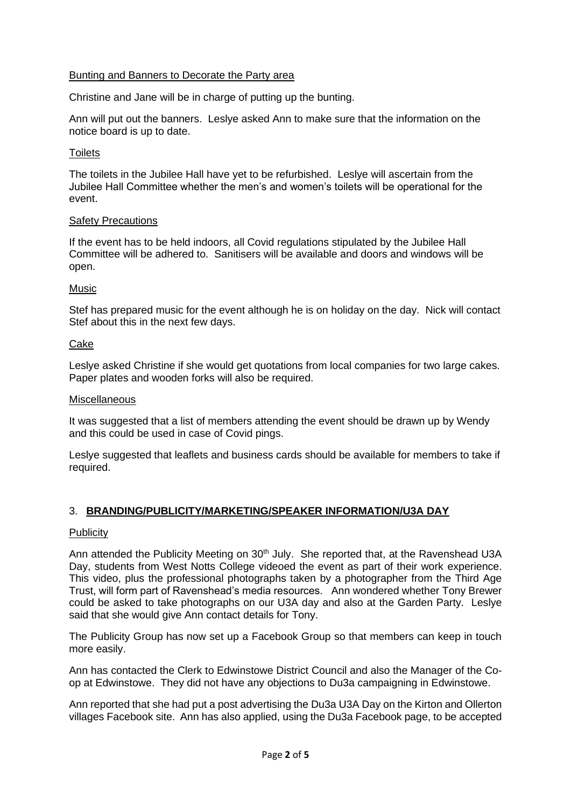## Bunting and Banners to Decorate the Party area

Christine and Jane will be in charge of putting up the bunting.

Ann will put out the banners. Leslye asked Ann to make sure that the information on the notice board is up to date.

## **Toilets**

The toilets in the Jubilee Hall have yet to be refurbished. Leslye will ascertain from the Jubilee Hall Committee whether the men's and women's toilets will be operational for the event.

## Safety Precautions

If the event has to be held indoors, all Covid regulations stipulated by the Jubilee Hall Committee will be adhered to. Sanitisers will be available and doors and windows will be open.

## **Music**

Stef has prepared music for the event although he is on holiday on the day. Nick will contact Stef about this in the next few days.

## Cake

Leslye asked Christine if she would get quotations from local companies for two large cakes. Paper plates and wooden forks will also be required.

### Miscellaneous

It was suggested that a list of members attending the event should be drawn up by Wendy and this could be used in case of Covid pings.

Leslye suggested that leaflets and business cards should be available for members to take if required.

# 3. **BRANDING/PUBLICITY/MARKETING/SPEAKER INFORMATION/U3A DAY**

### **Publicity**

Ann attended the Publicity Meeting on 30<sup>th</sup> July. She reported that, at the Ravenshead U3A Day, students from West Notts College videoed the event as part of their work experience. This video, plus the professional photographs taken by a photographer from the Third Age Trust, will form part of Ravenshead's media resources. Ann wondered whether Tony Brewer could be asked to take photographs on our U3A day and also at the Garden Party. Leslye said that she would give Ann contact details for Tony.

The Publicity Group has now set up a Facebook Group so that members can keep in touch more easily.

Ann has contacted the Clerk to Edwinstowe District Council and also the Manager of the Coop at Edwinstowe. They did not have any objections to Du3a campaigning in Edwinstowe.

Ann reported that she had put a post advertising the Du3a U3A Day on the Kirton and Ollerton villages Facebook site. Ann has also applied, using the Du3a Facebook page, to be accepted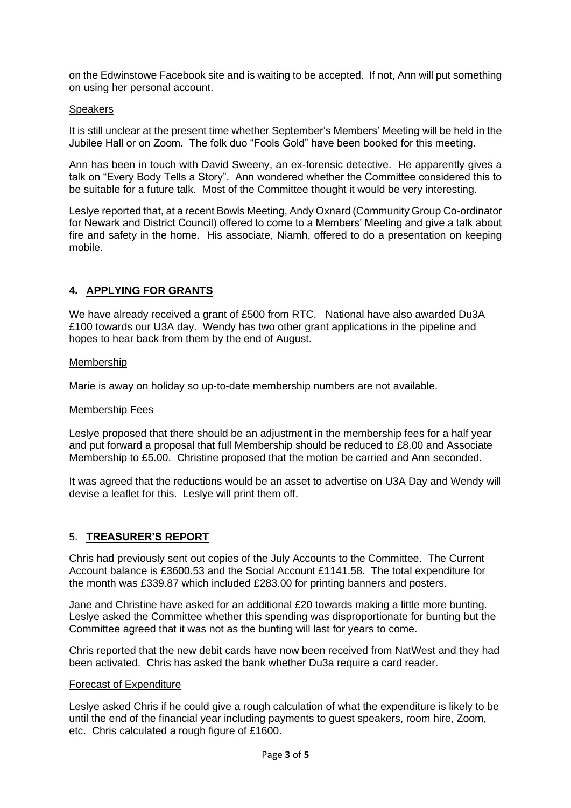on the Edwinstowe Facebook site and is waiting to be accepted. If not, Ann will put something on using her personal account.

## **Speakers**

It is still unclear at the present time whether September's Members' Meeting will be held in the Jubilee Hall or on Zoom. The folk duo "Fools Gold" have been booked for this meeting.

Ann has been in touch with David Sweeny, an ex-forensic detective. He apparently gives a talk on "Every Body Tells a Story". Ann wondered whether the Committee considered this to be suitable for a future talk. Most of the Committee thought it would be very interesting.

Leslye reported that, at a recent Bowls Meeting, Andy Oxnard (Community Group Co-ordinator for Newark and District Council) offered to come to a Members' Meeting and give a talk about fire and safety in the home. His associate, Niamh, offered to do a presentation on keeping mobile.

# **4. APPLYING FOR GRANTS**

We have already received a grant of £500 from RTC. National have also awarded Du3A £100 towards our U3A day. Wendy has two other grant applications in the pipeline and hopes to hear back from them by the end of August.

## Membership

Marie is away on holiday so up-to-date membership numbers are not available.

### Membership Fees

Leslye proposed that there should be an adjustment in the membership fees for a half year and put forward a proposal that full Membership should be reduced to £8.00 and Associate Membership to £5.00. Christine proposed that the motion be carried and Ann seconded.

It was agreed that the reductions would be an asset to advertise on U3A Day and Wendy will devise a leaflet for this. Leslye will print them off.

## 5. **TREASURER'S REPORT**

Chris had previously sent out copies of the July Accounts to the Committee. The Current Account balance is £3600.53 and the Social Account £1141.58. The total expenditure for the month was £339.87 which included £283.00 for printing banners and posters.

Jane and Christine have asked for an additional £20 towards making a little more bunting. Leslye asked the Committee whether this spending was disproportionate for bunting but the Committee agreed that it was not as the bunting will last for years to come.

Chris reported that the new debit cards have now been received from NatWest and they had been activated. Chris has asked the bank whether Du3a require a card reader.

### Forecast of Expenditure

Leslye asked Chris if he could give a rough calculation of what the expenditure is likely to be until the end of the financial year including payments to guest speakers, room hire, Zoom, etc. Chris calculated a rough figure of £1600.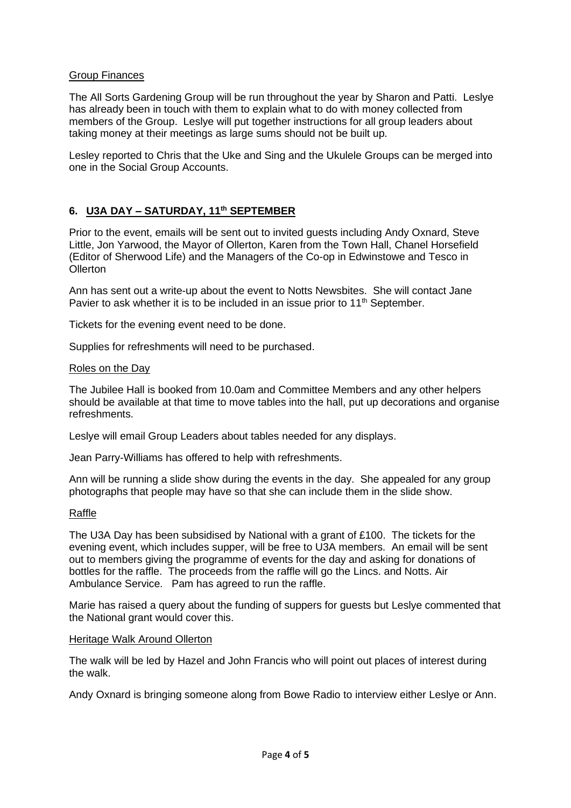## Group Finances

The All Sorts Gardening Group will be run throughout the year by Sharon and Patti. Leslye has already been in touch with them to explain what to do with money collected from members of the Group. Leslye will put together instructions for all group leaders about taking money at their meetings as large sums should not be built up.

Lesley reported to Chris that the Uke and Sing and the Ukulele Groups can be merged into one in the Social Group Accounts.

## **6. U3A DAY – SATURDAY, 11th SEPTEMBER**

Prior to the event, emails will be sent out to invited guests including Andy Oxnard, Steve Little, Jon Yarwood, the Mayor of Ollerton, Karen from the Town Hall, Chanel Horsefield (Editor of Sherwood Life) and the Managers of the Co-op in Edwinstowe and Tesco in **Ollerton** 

Ann has sent out a write-up about the event to Notts Newsbites. She will contact Jane Pavier to ask whether it is to be included in an issue prior to 11<sup>th</sup> September.

Tickets for the evening event need to be done.

Supplies for refreshments will need to be purchased.

### Roles on the Day

The Jubilee Hall is booked from 10.0am and Committee Members and any other helpers should be available at that time to move tables into the hall, put up decorations and organise refreshments.

Leslye will email Group Leaders about tables needed for any displays.

Jean Parry-Williams has offered to help with refreshments.

Ann will be running a slide show during the events in the day. She appealed for any group photographs that people may have so that she can include them in the slide show.

### Raffle

The U3A Day has been subsidised by National with a grant of £100. The tickets for the evening event, which includes supper, will be free to U3A members. An email will be sent out to members giving the programme of events for the day and asking for donations of bottles for the raffle. The proceeds from the raffle will go the Lincs. and Notts. Air Ambulance Service. Pam has agreed to run the raffle.

Marie has raised a query about the funding of suppers for guests but Leslye commented that the National grant would cover this.

### Heritage Walk Around Ollerton

The walk will be led by Hazel and John Francis who will point out places of interest during the walk.

Andy Oxnard is bringing someone along from Bowe Radio to interview either Leslye or Ann.